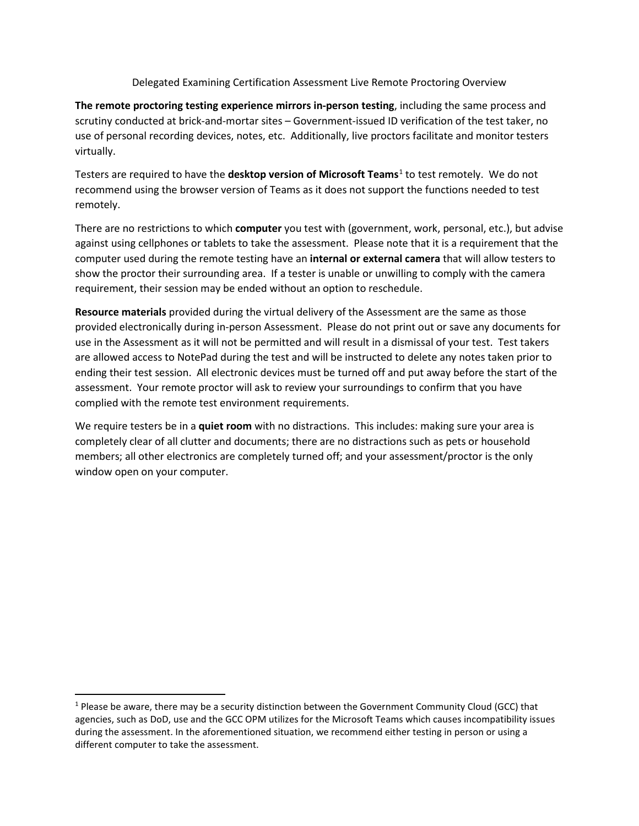Delegated Examining Certification Assessment Live Remote Proctoring Overview

**The remote proctoring testing experience mirrors in-person testing**, including the same process and scrutiny conducted at brick-and-mortar sites – Government-issued ID verification of the test taker, no use of personal recording devices, notes, etc. Additionally, live proctors facilitate and monitor testers virtually.

Testers are required to have the **desktop version of Microsoft Teams**[1](#page-0-0) to test remotely. We do not recommend using the browser version of Teams as it does not support the functions needed to test remotely.

There are no restrictions to which **computer** you test with (government, work, personal, etc.), but advise against using cellphones or tablets to take the assessment. Please note that it is a requirement that the computer used during the remote testing have an **internal or external camera** that will allow testers to show the proctor their surrounding area. If a tester is unable or unwilling to comply with the camera requirement, their session may be ended without an option to reschedule.

**Resource materials** provided during the virtual delivery of the Assessment are the same as those provided electronically during in-person Assessment. Please do not print out or save any documents for use in the Assessment as it will not be permitted and will result in a dismissal of your test. Test takers are allowed access to NotePad during the test and will be instructed to delete any notes taken prior to ending their test session. All electronic devices must be turned off and put away before the start of the assessment. Your remote proctor will ask to review your surroundings to confirm that you have complied with the remote test environment requirements.

We require testers be in a **quiet room** with no distractions. This includes: making sure your area is completely clear of all clutter and documents; there are no distractions such as pets or household members; all other electronics are completely turned off; and your assessment/proctor is the only window open on your computer.

<span id="page-0-0"></span><sup>&</sup>lt;sup>1</sup> Please be aware, there may be a security distinction between the Government Community Cloud (GCC) that agencies, such as DoD, use and the GCC OPM utilizes for the Microsoft Teams which causes incompatibility issues during the assessment. In the aforementioned situation, we recommend either testing in person or using a different computer to take the assessment.